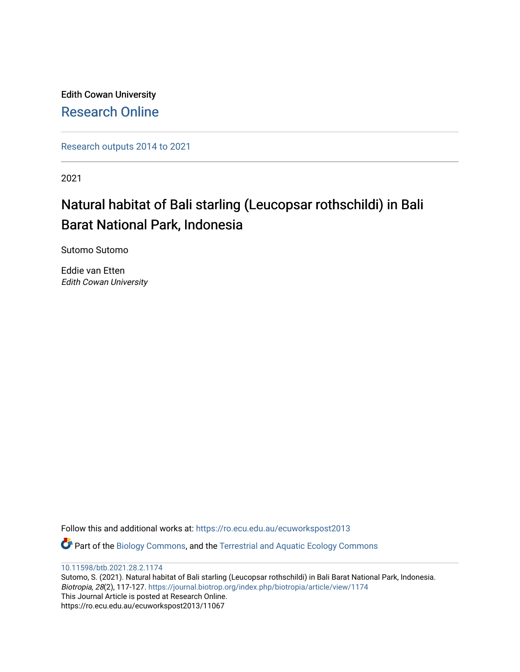Edith Cowan University [Research Online](https://ro.ecu.edu.au/) 

[Research outputs 2014 to 2021](https://ro.ecu.edu.au/ecuworkspost2013) 

2021

# Natural habitat of Bali starling (Leucopsar rothschildi) in Bali Barat National Park, Indonesia

Sutomo Sutomo

Eddie van Etten Edith Cowan University

Follow this and additional works at: [https://ro.ecu.edu.au/ecuworkspost2013](https://ro.ecu.edu.au/ecuworkspost2013?utm_source=ro.ecu.edu.au%2Fecuworkspost2013%2F11067&utm_medium=PDF&utm_campaign=PDFCoverPages) 

Part of the [Biology Commons,](http://network.bepress.com/hgg/discipline/41?utm_source=ro.ecu.edu.au%2Fecuworkspost2013%2F11067&utm_medium=PDF&utm_campaign=PDFCoverPages) and the [Terrestrial and Aquatic Ecology Commons](http://network.bepress.com/hgg/discipline/20?utm_source=ro.ecu.edu.au%2Fecuworkspost2013%2F11067&utm_medium=PDF&utm_campaign=PDFCoverPages)

[10.11598/btb.2021.28.2.1174](http://dx.doi.org/10.11598/btb.2021.28.2.1174) 

Sutomo, S. (2021). Natural habitat of Bali starling (Leucopsar rothschildi) in Bali Barat National Park, Indonesia. Biotropia, 28(2), 117-127. <https://journal.biotrop.org/index.php/biotropia/article/view/1174> This Journal Article is posted at Research Online. https://ro.ecu.edu.au/ecuworkspost2013/11067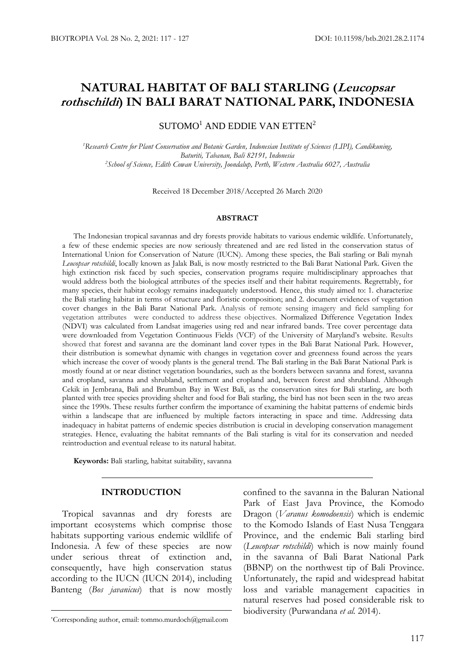## **NATURAL HABITAT OF BALI STARLING (Leucopsar rothschildi) IN BALI BARAT NATIONAL PARK, INDONESIA**

## $SUTOMO<sup>1</sup>$  AND EDDIE VAN ETTEN<sup>2</sup>

*<sup>1</sup>Research Centre for Plant Conservation and Botanic Garden, Indonesian Institute of Sciences (LIPI), Candikuning, Baturiti, Tabanan, Bali 82191, Indonesia <sup>2</sup>School of Science, Edith Cowan University, Joondalup, Perth, Western Australia 6027, Australia*

Received 18 December 2018/Accepted 26 March 2020

#### **ABSTRACT**

The Indonesian tropical savannas and dry forests provide habitats to various endemic wildlife. Unfortunately, a few of these endemic species are now seriously threatened and are red listed in the conservation status of International Union for Conservation of Nature (IUCN). Among these species, the Bali starling or Bali mynah *Leucopsar rotschildi*, locally known as Jalak Bali, is now mostly restricted to the Bali Barat National Park. Given the high extinction risk faced by such species, conservation programs require multidisciplinary approaches that would address both the biological attributes of the species itself and their habitat requirements. Regrettably, for many species, their habitat ecology remains inadequately understood. Hence, this study aimed to: 1. characterize the Bali starling habitat in terms of structure and floristic composition; and 2. document evidences of vegetation cover changes in the Bali Barat National Park. Analysis of remote sensing imagery and field sampling for vegetation attributes were conducted to address these objectives. Normalized Difference Vegetation Index (NDVI) was calculated from Landsat imageries using red and near infrared bands. Tree cover percentage data were downloaded from Vegetation Continuous Fields (VCF) of the University of Maryland's website. Results showed that forest and savanna are the dominant land cover types in the Bali Barat National Park. However, their distribution is somewhat dynamic with changes in vegetation cover and greenness found across the years which increase the cover of woody plants is the general trend. The Bali starling in the Bali Barat National Park is mostly found at or near distinct vegetation boundaries, such as the borders between savanna and forest, savanna and cropland, savanna and shrubland, settlement and cropland and, between forest and shrubland. Although Cekik in Jembrana, Bali and Brumbun Bay in West Bali, as the conservation sites for Bali starling, are both planted with tree species providing shelter and food for Bali starling, the bird has not been seen in the two areas since the 1990s. These results further confirm the importance of examining the habitat patterns of endemic birds within a landscape that are influenced by multiple factors interacting in space and time. Addressing data inadequacy in habitat patterns of endemic species distribution is crucial in developing conservation management strategies. Hence, evaluating the habitat remnants of the Bali starling is vital for its conservation and needed reintroduction and eventual release to its natural habitat.

**Keywords:** Bali starling, habitat suitability, savanna

## **INTRODUCTION**

Tropical savannas and dry forests are important ecosystems which comprise those habitats supporting various endemic wildlife of Indonesia. A few of these species are now under serious threat of extinction and, consequently, have high conservation status according to the IUCN (IUCN 2014), including Banteng (*Bos javanicus*) that is now mostly

confined to the savanna in the Baluran National Park of East Java Province, the Komodo Dragon (*Varanus komodoensis*) which is endemic to the Komodo Islands of East Nusa Tenggara Province, and the endemic Bali starling bird (*Leucopsar rotschildi*) which is now mainly found in the savanna of Bali Barat National Park (BBNP) on the northwest tip of Bali Province. Unfortunately, the rapid and widespread habitat loss and variable management capacities in natural reserves had posed considerable risk to biodiversity (Purwandana *et al.* 2014).

<sup>\*</sup>Corresponding author, email: tommo.murdoch@gmail.com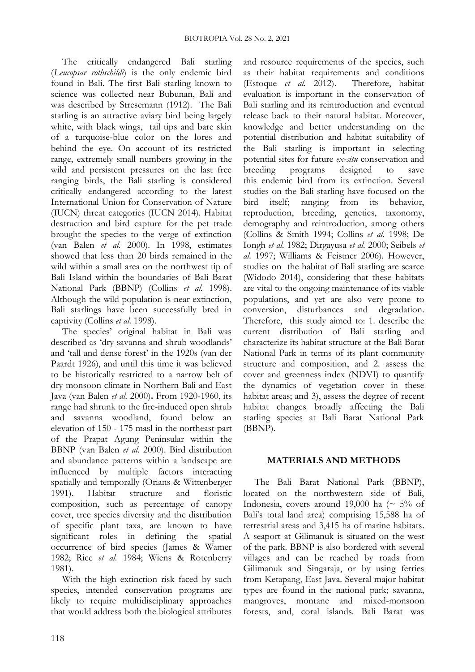The critically endangered Bali starling (*Leucopsar rothschildi*) is the only endemic bird found in Bali. The first Bali starling known to science was collected near Bubunan, Bali and was described by Stresemann (1912). The Bali starling is an attractive aviary bird being largely white, with black wings, tail tips and bare skin of a turquoise-blue color on the lores and behind the eye. On account of its restricted range, extremely small numbers growing in the wild and persistent pressures on the last free ranging birds, the Bali starling is considered critically endangered according to the latest International Union for Conservation of Nature (IUCN) threat categories (IUCN 2014). Habitat destruction and bird capture for the pet trade brought the species to the verge of extinction (van Balen *et al.* 2000). In 1998, estimates showed that less than 20 birds remained in the wild within a small area on the northwest tip of Bali Island within the boundaries of Bali Barat National Park (BBNP) (Collins *et al.* 1998). Although the wild population is near extinction, Bali starlings have been successfully bred in captivity (Collins *et al.* 1998).

The species' original habitat in Bali was described as 'dry savanna and shrub woodlands' and 'tall and dense forest' in the 1920s (van der Paardt 1926), and until this time it was believed to be historically restricted to a narrow belt of dry monsoon climate in Northern Bali and East Java (van Balen *et al.* 2000)**.** From 1920-1960, its range had shrunk to the fire-induced open shrub and savanna woodland, found below an elevation of 150 - 175 masl in the northeast part of the Prapat Agung Peninsular within the BBNP (van Balen *et al.* 2000). Bird distribution and abundance patterns within a landscape are influenced by multiple factors interacting spatially and temporally (Orians & Wittenberger 1991). Habitat structure and floristic composition, such as percentage of canopy cover, tree species diversity and the distribution of specific plant taxa, are known to have significant roles in defining the spatial occurrence of bird species (James & Wamer 1982; Rice *et al.* 1984; Wiens & Rotenberry 1981).

With the high extinction risk faced by such species, intended conservation programs are likely to require multidisciplinary approaches that would address both the biological attributes

and resource requirements of the species, such as their habitat requirements and conditions (Estoque *et al.* 2012). Therefore, habitat evaluation is important in the conservation of Bali starling and its reintroduction and eventual release back to their natural habitat. Moreover, knowledge and better understanding on the potential distribution and habitat suitability of the Bali starling is important in selecting potential sites for future *ex-situ* conservation and breeding programs designed to save this endemic bird from its extinction. Several studies on the Bali starling have focused on the bird itself; ranging from its behavior, reproduction, breeding, genetics, taxonomy, demography and reintroduction, among others (Collins & Smith 1994; Collins *et al.* 1998; De Iongh *et al.* 1982; Dirgayusa *et al.* 2000; Seibels *et al.* 1997; Williams & Feistner 2006). However, studies on the habitat of Bali starling are scarce (Widodo 2014), considering that these habitats are vital to the ongoing maintenance of its viable populations, and yet are also very prone to conversion, disturbances and degradation. Therefore, this study aimed to: 1. describe the current distribution of Bali starling and characterize its habitat structure at the Bali Barat National Park in terms of its plant community structure and composition, and 2. assess the cover and greenness index (NDVI) to quantify the dynamics of vegetation cover in these habitat areas; and 3), assess the degree of recent habitat changes broadly affecting the Bali starling species at Bali Barat National Park (BBNP).

## **MATERIALS AND METHODS**

The Bali Barat National Park (BBNP), located on the northwestern side of Bali, Indonesia, covers around 19,000 ha ( $\sim$  5% of Bali's total land area) comprising 15,588 ha of terrestrial areas and 3,415 ha of marine habitats. A seaport at Gilimanuk is situated on the west of the park. BBNP is also bordered with several villages and can be reached by roads from Gilimanuk and Singaraja, or by using ferries from Ketapang, East Java. Several major habitat types are found in the national park; savanna, mangroves, montane and mixed-monsoon forests, and, coral islands. Bali Barat was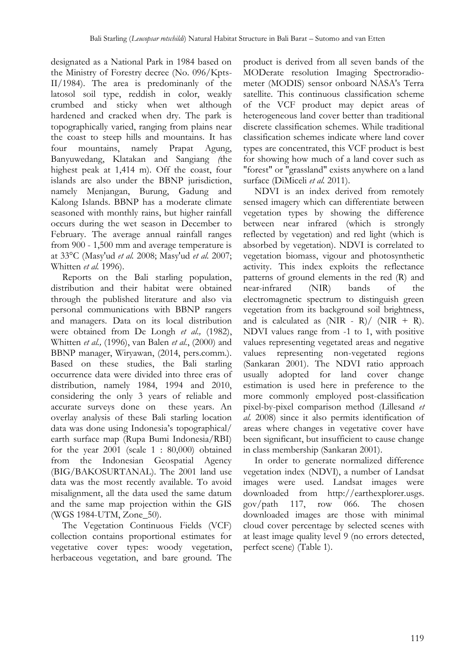designated as a National Park in 1984 based on the Ministry of Forestry decree (No. 096/Kpts-II/1984). The area is predominanly of the latosol soil type, reddish in color, weakly crumbed and sticky when wet although hardened and cracked when dry. The park is topographically varied, ranging from plains near the coast to steep hills and mountains. It has four mountains, namely Prapat Agung, Banyuwedang, Klatakan and Sangiang *(*the highest peak at 1,414 m). Off the coast, four islands are also under the BBNP jurisdiction, namely Menjangan, Burung, Gadung and Kalong Islands. BBNP has a moderate climate seasoned with monthly rains, but higher rainfall occurs during the wet season in December to February. The average annual rainfall ranges from 900 - 1,500 mm and average temperature is at 33°C (Masy'ud *et al.* 2008; Masy'ud *et al.* 2007; Whitten *et al.* 1996).

Reports on the Bali starling population, distribution and their habitat were obtained through the published literature and also via personal communications with BBNP rangers and managers. Data on its local distribution were obtained from De Longh *et al.,* (1982), Whitten *et al.,* (1996), van Balen *et al.*, (2000) and BBNP manager, Wiryawan, (2014, pers.comm.). Based on these studies, the Bali starling occurrence data were divided into three eras of distribution, namely 1984, 1994 and 2010, considering the only 3 years of reliable and accurate surveys done on these years. An overlay analysis of these Bali starling location data was done using Indonesia's topographical/ earth surface map (Rupa Bumi Indonesia/RBI) for the year 2001 (scale 1 : 80,000) obtained from the Indonesian Geospatial Agency (BIG/BAKOSURTANAL). The 2001 land use data was the most recently available. To avoid misalignment, all the data used the same datum and the same map projection within the GIS (WGS 1984-UTM, Zone\_50).

The Vegetation Continuous Fields (VCF) collection contains proportional estimates for vegetative cover types: woody vegetation, herbaceous vegetation, and bare ground. The

product is derived from all seven bands of the MODerate resolution Imaging Spectroradiometer (MODIS) sensor onboard NASA's Terra satellite. This continuous classification scheme of the VCF product may depict areas of heterogeneous land cover better than traditional discrete classification schemes. While traditional classification schemes indicate where land cover types are concentrated, this VCF product is best for showing how much of a land cover such as "forest" or "grassland" exists anywhere on a land surface (DiMiceli *et al.* 2011).

NDVI is an index derived from remotely sensed imagery which can differentiate between vegetation types by showing the difference between near infrared (which is strongly reflected by vegetation) and red light (which is absorbed by vegetation). NDVI is correlated to vegetation biomass, vigour and photosynthetic activity. This index exploits the reflectance patterns of ground elements in the red (R) and near-infrared (NIR) bands of the electromagnetic spectrum to distinguish green vegetation from its background soil brightness, and is calculated as  $(NIR - R)/(NIR + R)$ . NDVI values range from -1 to 1, with positive values representing vegetated areas and negative values representing non-vegetated regions (Sankaran 2001). The NDVI ratio approach usually adopted for land cover change estimation is used here in preference to the more commonly employed post-classification pixel-by-pixel comparison method (Lillesand *et al.* 2008) since it also permits identification of areas where changes in vegetative cover have been significant, but insufficient to cause change in class membership (Sankaran 2001).

In order to generate normalized difference vegetation index (NDVI), a number of Landsat images were used. Landsat images were downloaded from http://earthexplorer.usgs. gov/path 117, row 066. The chosen downloaded images are those with minimal cloud cover percentage by selected scenes with at least image quality level 9 (no errors detected, perfect scene) (Table 1).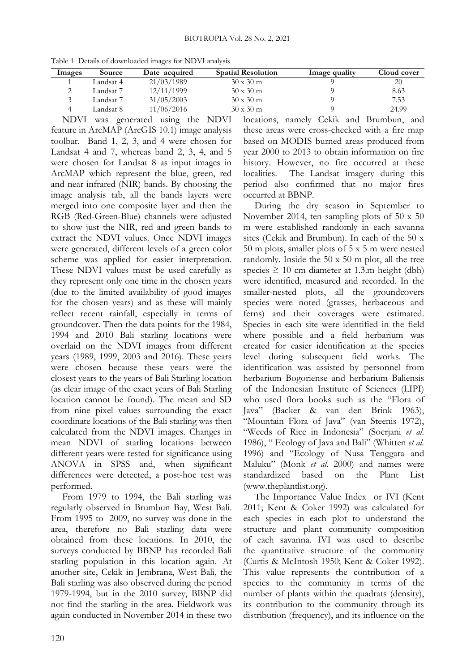| Images | <b>Source</b> | Date acquired | <b>Spatial Resolution</b> | Image quality | Cloud cover |
|--------|---------------|---------------|---------------------------|---------------|-------------|
|        | Landsat 4     | 21/03/1989    | $30 \times 30$ m          |               | 20          |
|        | Landsat 7     | 12/11/1999    | $30 \times 30 \text{ m}$  |               | 8.63        |
|        | Landsat 7     | 31/05/2003    | $30 \times 30$ m          |               | 7.53        |
|        | Landsat 8.    | 11/06/2016    | $30 \times 30 \text{ m}$  |               | 24.99       |
|        |               |               |                           |               |             |

Table 1 Details of downloaded images for NDVI analysis

NDVI was generated using the NDVI feature in ArcMAP (ArcGIS 10.1) image analysis toolbar. Band 1, 2, 3, and 4 were chosen for Landsat 4 and 7, whereas band 2, 3, 4, and 5 were chosen for Landsat 8 as input images in ArcMAP which represent the blue, green, red and near infrared (NIR) bands. By choosing the image analysis tab, all the bands layers were merged into one composite layer and then the RGB (Red-Green-Blue) channels were adjusted to show just the NIR, red and green bands to extract the NDVI values. Once NDVI images were generated, different levels of a green color scheme was applied for easier interpretation. These NDVI values must be used carefully as they represent only one time in the chosen years (due to the limited availability of good images for the chosen years) and as these will mainly reflect recent rainfall, especially in terms of groundcover. Then the data points for the 1984, 1994 and 2010 Bali starling locations were overlaid on the NDVI images from different years (1989, 1999, 2003 and 2016). These years were chosen because these years were the closest years to the years of Bali Starling location (as clear image of the exact years of Bali Starling location cannot be found). The mean and SD from nine pixel values surrounding the exact coordinate locations of the Bali starling was then calculated from the NDVI images. Changes in mean NDVI of starling locations between different years were tested for significance using ANOVA in SPSS and, when significant differences were detected, a post-hoc test was performed.

From 1979 to 1994, the Bali starling was regularly observed in Brumbun Bay, West Bali. From 1995 to 2009, no survey was done in the area, therefore no Bali starling data were obtained from these locations. In 2010, the surveys conducted by BBNP has recorded Bali starling population in this location again. At another site, Cekik in Jembrana, West Bali, the Bali starling was also observed during the period 1979-1994, but in the 2010 survey, BBNP did not find the starling in the area. Fieldwork was again conducted in November 2014 in these two locations, namely Cekik and Brumbun, and these areas were cross-checked with a fire map based on MODIS burned areas produced from year 2000 to 2013 to obtain information on fire history. However, no fire occurred at these localities. The Landsat imagery during this period also confirmed that no major fires occurred at BBNP.

During the dry season in September to November 2014, ten sampling plots of 50 x 50 m were established randomly in each savanna sites (Cekik and Brumbun). In each of the 50 x 50 m plots, smaller plots of 5 x 5 m were nested randomly. Inside the 50 x 50 m plot, all the tree species  $\geq 10$  cm diameter at 1.3.m height (dbh) were identified, measured and recorded. In the smaller-nested plots, all the groundcovers species were noted (grasses, herbaceous and ferns) and their coverages were estimated. Species in each site were identified in the field where possible and a field herbarium was created for easier identification at the species level during subsequent field works. The identification was assisted by personnel from herbarium Bogoriense and herbarium Baliensis of the Indonesian Institute of Sciences (LIPI) who used flora books such as the "Flora of Java" (Backer & van den Brink 1963), "Mountain Flora of Java" (van Steenis 1972), "Weeds of Rice in Indonesia" (Soerjani *et al.* 1986), " Ecology of Java and Bali" (Whitten *et al.* 1996) and "Ecology of Nusa Tenggara and Maluku" (Monk *et al.* 2000) and names were standardized based on the Plant List (www.theplantlist.org).

The Importance Value Index or IVI (Kent 2011; Kent & Coker 1992) was calculated for each species in each plot to understand the structure and plant community composition of each savanna. IVI was used to describe the quantitative structure of the community (Curtis & McIntosh 1950; Kent & Coker 1992). This value represents the contribution of a species to the community in terms of the number of plants within the quadrats (density), its contribution to the community through its distribution (frequency), and its influence on the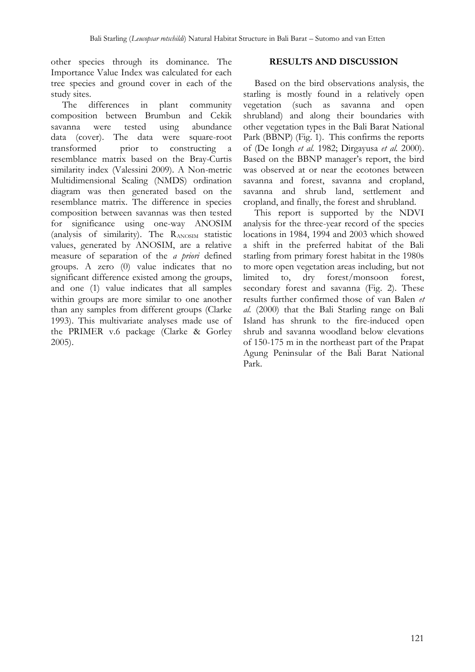other species through its dominance. The Importance Value Index was calculated for each tree species and ground cover in each of the study sites.

The differences in plant community composition between Brumbun and Cekik savanna were tested using abundance data (cover). The data were square-root transformed prior to constructing a resemblance matrix based on the Bray-Curtis similarity index (Valessini 2009). A Non-metric Multidimensional Scaling (NMDS) ordination diagram was then generated based on the resemblance matrix. The difference in species composition between savannas was then tested for significance using one-way ANOSIM (analysis of similarity). The RANOSIM statistic values, generated by ANOSIM, are a relative measure of separation of the *a priori* defined groups. A zero (0) value indicates that no significant difference existed among the groups, and one (1) value indicates that all samples within groups are more similar to one another than any samples from different groups (Clarke 1993). This multivariate analyses made use of the PRIMER v.6 package (Clarke & Gorley 2005).

## **RESULTS AND DISCUSSION**

Based on the bird observations analysis, the starling is mostly found in a relatively open vegetation (such as savanna and open shrubland) and along their boundaries with other vegetation types in the Bali Barat National Park (BBNP) (Fig. 1). This confirms the reports of (De Iongh *et al.* 1982; Dirgayusa *et al.* 2000). Based on the BBNP manager's report, the bird was observed at or near the ecotones between savanna and forest, savanna and cropland, savanna and shrub land, settlement and cropland, and finally, the forest and shrubland.

This report is supported by the NDVI analysis for the three-year record of the species locations in 1984, 1994 and 2003 which showed a shift in the preferred habitat of the Bali starling from primary forest habitat in the 1980s to more open vegetation areas including, but not limited to, dry forest/monsoon forest, secondary forest and savanna (Fig. 2). These results further confirmed those of van Balen *et al.* (2000) that the Bali Starling range on Bali Island has shrunk to the fire-induced open shrub and savanna woodland below elevations of 150-175 m in the northeast part of the Prapat Agung Peninsular of the Bali Barat National Park.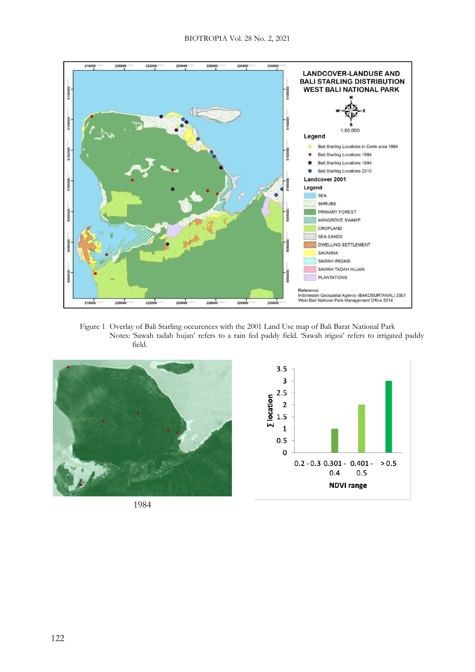

Figure 1 Overlay of Bali Starling occurences with the 2001 Land Use map of Bali Barat National Park Notes: 'Sawah tadah hujan' refers to a rain fed paddy field. 'Sawah irigasi' refers to irrigated paddy field.



1984

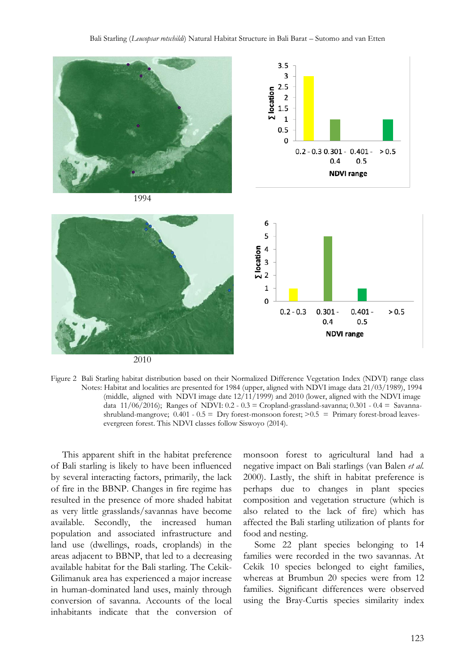

2010



This apparent shift in the habitat preference of Bali starling is likely to have been influenced by several interacting factors, primarily, the lack of fire in the BBNP. Changes in fire regime has resulted in the presence of more shaded habitat as very little grasslands/savannas have become available. Secondly, the increased human population and associated infrastructure and land use (dwellings, roads, croplands) in the areas adjacent to BBNP, that led to a decreasing available habitat for the Bali starling. The Cekik-Gilimanuk area has experienced a major increase in human-dominated land uses, mainly through conversion of savanna. Accounts of the local inhabitants indicate that the conversion of

monsoon forest to agricultural land had a negative impact on Bali starlings (van Balen *et al.* 2000). Lastly, the shift in habitat preference is perhaps due to changes in plant species composition and vegetation structure (which is also related to the lack of fire) which has affected the Bali starling utilization of plants for food and nesting.

Some 22 plant species belonging to 14 families were recorded in the two savannas. At Cekik 10 species belonged to eight families, whereas at Brumbun 20 species were from 12 families. Significant differences were observed using the Bray-Curtis species similarity index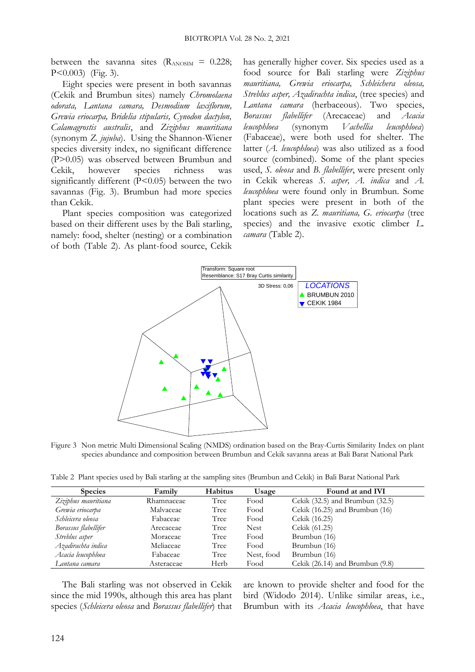between the savanna sites  $(R_{\text{ANOSIM}} = 0.228)$ ; P<0.003) (Fig. 3).

Eight species were present in both savannas (Cekik and Brumbun sites) namely *Chromolaena odorata, Lantana camara, Desmodium laxiflorum, Grewia eriocarpa, Bridelia stipularis, Cynodon dactylon, Calamagrostis australis*, and *Ziziphus mauritiana* (synonym *Z. jujuba*). Using the Shannon-Wiener species diversity index, no significant difference (P>0.05) was observed between Brumbun and Cekik, however species richness was significantly different (P<0.05) between the two savannas (Fig. 3). Brumbun had more species than Cekik.

Plant species composition was categorized based on their different uses by the Bali starling, namely: food, shelter (nesting) or a combination of both (Table 2). As plant-food source, Cekik has generally higher cover. Six species used as a food source for Bali starling were *Ziziphus mauritiana, Grewia eriocarpa, Schleichera oleosa, Streblus asper, Azadirachta indica*, (tree species) and *Lantana camara* (herbaceous). Two species, *Borassus flabellifer* (Arecaceae) and *Acacia leucophloea* (synonym *Vachellia leucophloea*) (Fabaceae), were both used for shelter. The latter (*A. leucophloea*) was also utilized as a food source (combined). Some of the plant species used, *S. oleosa* and *B. flabellifer*, were present only in Cekik whereas *S. asper, A. indica* and *A. leucophloea* were found only in Brumbun. Some plant species were present in both of the locations such as *Z. mauritiana, G. eriocarpa* (tree species) and the invasive exotic climber *L. camara* (Table 2).



Figure 3 Non metric Multi Dimensional Scaling (NMDS) ordination based on the Bray-Curtis Similarity Index on plant species abundance and composition between Brumbun and Cekik savanna areas at Bali Barat National Park

Table 2 Plant species used by Bali starling at the sampling sites (Brumbun and Cekik) in Bali Barat National Park

| <b>Species</b>       | Family     | <b>Habitus</b> | Usage       | Found at and IVI                    |
|----------------------|------------|----------------|-------------|-------------------------------------|
| Ziziphus mauritiana  | Rhamnaceae | Tree           | Food        | Cekik $(32.5)$ and Brumbun $(32.5)$ |
| Grewia eriocarpa     | Malvaceae  | Tree           | Food        | Cekik (16.25) and Brumbun (16)      |
| Schleicera oleosa    | Fabaceae   | Tree           | Food        | Cekik (16.25)                       |
| Borassus flabellifer | Arecaceae  | Tree           | <b>Nest</b> | Cekik (61.25)                       |
| Streblus asper       | Moraceae   | Tree           | Food        | Brumbun (16)                        |
| Azadirachta indica   | Meliaceae  | Tree           | Food        | Brumbun (16)                        |
| Acacia leucophloea   | Fabaceae   | Tree           | Nest, food  | Brumbun (16)                        |
| Lantana camara       | Asteraceae | Herb           | Food        | Cekik $(26.14)$ and Brumbun $(9.8)$ |

The Bali starling was not observed in Cekik since the mid 1990s, although this area has plant species (*Schleicera oleosa* and *Borassus flabellifer*) that are known to provide shelter and food for the bird (Widodo 2014). Unlike similar areas, i.e., Brumbun with its *Acacia leucophloea*, that have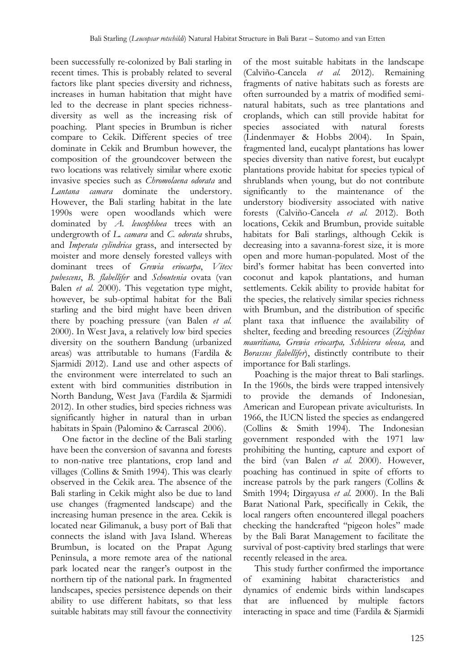been successfully re-colonized by Bali starling in recent times. This is probably related to several factors like plant species diversity and richness, increases in human habitation that might have led to the decrease in plant species richnessdiversity as well as the increasing risk of poaching. Plant species in Brumbun is richer compare to Cekik. Different species of tree dominate in Cekik and Brumbun however, the composition of the groundcover between the two locations was relatively similar where exotic invasive species such as *Chromolaena odorata* and *Lantana camara* dominate the understory. However, the Bali starling habitat in the late 1990s were open woodlands which were dominated by *A. leucophloea* trees with an undergrowth of *L. camara* and *C. odorata* shrubs, and *Imperata cylindrica* grass, and intersected by moister and more densely forested valleys with dominant trees of *Grewia eriocarpa*, *Vitex pubescens*, *B. flabellifer* and *Schoutenia* ovata (van Balen *et al.* 2000). This vegetation type might, however, be sub-optimal habitat for the Bali starling and the bird might have been driven there by poaching pressure (van Balen *et al.* 2000). In West Java, a relatively low bird species diversity on the southern Bandung (urbanized areas) was attributable to humans (Fardila & Sjarmidi 2012). Land use and other aspects of the environment were interrelated to such an extent with bird communities distribution in North Bandung, West Java (Fardila & Sjarmidi 2012). In other studies, bird species richness was significantly higher in natural than in urban habitats in Spain (Palomino & Carrascal 2006).

One factor in the decline of the Bali starling have been the conversion of savanna and forests to non-native tree plantations, crop land and villages (Collins & Smith 1994). This was clearly observed in the Cekik area. The absence of the Bali starling in Cekik might also be due to land use changes (fragmented landscape) and the increasing human presence in the area. Cekik is located near Gilimanuk, a busy port of Bali that connects the island with Java Island. Whereas Brumbun, is located on the Prapat Agung Peninsula, a more remote area of the national park located near the ranger's outpost in the northern tip of the national park. In fragmented landscapes, species persistence depends on their ability to use different habitats, so that less suitable habitats may still favour the connectivity

of the most suitable habitats in the landscape (Calviño-Cancela *et al.* 2012). Remaining fragments of native habitats such as forests are often surrounded by a matrix of modified seminatural habitats, such as tree plantations and croplands, which can still provide habitat for species associated with natural forests (Lindenmayer & Hobbs 2004). In Spain, fragmented land, eucalypt plantations has lower species diversity than native forest, but eucalypt plantations provide habitat for species typical of shrublands when young, but do not contribute significantly to the maintenance of the understory biodiversity associated with native forests (Calviño-Cancela *et al.* 2012). Both locations, Cekik and Brumbun, provide suitable habitats for Bali starlings, although Cekik is decreasing into a savanna-forest size, it is more open and more human-populated. Most of the bird's former habitat has been converted into coconut and kapok plantations, and human settlements. Cekik ability to provide habitat for the species, the relatively similar species richness with Brumbun, and the distribution of specific plant taxa that influence the availability of shelter, feeding and breeding resources (*Ziziphus mauritiana, Grewia eriocarpa, Schleicera oleosa,* and *Borassus flabellifer*), distinctly contribute to their importance for Bali starlings.

Poaching is the major threat to Bali starlings. In the 1960s, the birds were trapped intensively to provide the demands of Indonesian, American and European private aviculturists. In 1966, the IUCN listed the species as endangered (Collins & Smith 1994). The Indonesian government responded with the 1971 law prohibiting the hunting, capture and export of the bird (van Balen *et al.* 2000). However, poaching has continued in spite of efforts to increase patrols by the park rangers (Collins & Smith 1994; Dirgayusa *et al.* 2000). In the Bali Barat National Park, specifically in Cekik, the local rangers often encountered illegal poachers checking the handcrafted "pigeon holes" made by the Bali Barat Management to facilitate the survival of post-captivity bred starlings that were recently released in the area.

This study further confirmed the importance of examining habitat characteristics and dynamics of endemic birds within landscapes that are influenced by multiple factors interacting in space and time (Fardila & Sjarmidi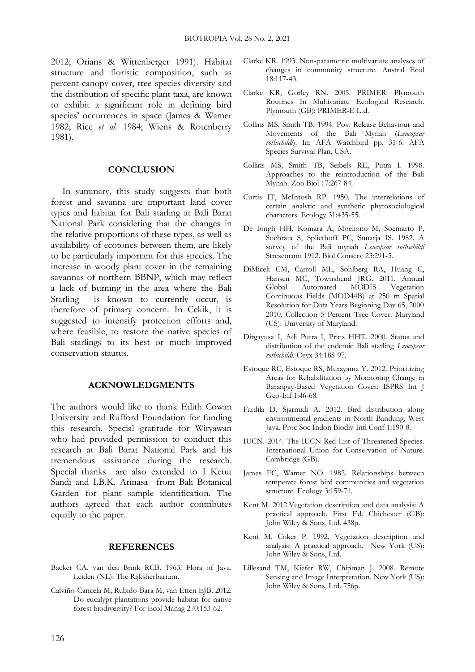2012; Orians & Wittenberger 1991). Habitat structure and floristic composition, such as percent canopy cover, tree species diversity and the distribution of specific plant taxa, are known to exhibit a significant role in defining bird species' occurrences in space (James & Wamer 1982; Rice *et al.* 1984; Wiens & Rotenberry 1981).

#### **CONCLUSION**

In summary, this study suggests that both forest and savanna are important land cover types and habitat for Bali starling at Bali Barat National Park considering that the changes in the relative proportions of these types, as well as availability of ecotones between them, are likely to be particularly important for this species. The increase in woody plant cover in the remaining savannas of northern BBNP, which may reflect a lack of burning in the area where the Bali Starling is known to currently occur, is therefore of primary concern. In Cekik, it is suggested to intensify protection efforts and, where feasible, to restore the native species of Bali starlings to its best or much improved conservation stautus.

#### **ACKNOWLEDGMENTS**

The authors would like to thank Edith Cowan University and Rufford Foundation for funding this research. Special gratitude for Wiryawan who had provided permission to conduct this research at Bali Barat National Park and his tremendous assistance during the research. Special thanks are also extended to I Ketut Sandi and I.B.K. Arinasa from Bali Botanical Garden for plant sample identification. The authors agreed that each author contributes equally to the paper.

## **REFERENCES**

- Backer CA, van den Brink RCB. 1963. Flora of Java. Leiden (NL): The Rijksherbarium.
- Calviño-Cancela M, Rubido-Bara M, van Etten EJB. 2012. Do eucalypt plantations provide habitat for native forest biodiversity? For Ecol Manag 270:153-62.
- Clarke KR. 1993. Non-parametric multivariate analyses of changes in community structure. Austral Ecol 18:117-43.
- Clarke KR, Gorley RN. 2005. PRIMER: Plymouth Routines In Multivariate Ecological Research. Plymouth (GB): PRIMER-E Ltd.
- Collins MS, Smith TB. 1994. Post Release Behaviour and Movements of the Bali Mynah (*Leucopsar rothschildi*). In: AFA Watchbird pp. 31-6. AFA Species Survival Plan, USA.
- Collins MS, Smith TB, Seibels RE, Putra I. 1998. Approaches to the reintroduction of the Bali Mynah. Zoo Biol 17:267-84.
- Curtis JT, McIntosh RP. 1950. The interrelations of certain analytic and synthetic phytosociological characters. Ecology 31:435-55.
- De Iongh HH, Komara A, Moeliono M, Soemarto P, Soebrata S, Spliethoff PC, Sunarja IS. 1982. A survey of the Bali mynah *Leucopsar rothschildi* Stresemann 1912. Biol Conserv 23:291-5.
- DiMiceli CM, Carroll ML, Sohlberg RA, Huang C, Hansen MC, Townshend JRG. 2011. Annual Global Automated MODIS Vegetation Continuous Fields (MOD44B) at 250 m Spatial Resolution for Data Years Beginning Day 65, 2000 2010, Collection 5 Percent Tree Cover. Maryland (US): University of Maryland.
- Dirgayusa I, Adi Putra I, Prins HHT. 2000. Status and distribution of the endemic Bali starling *Leucopsar rothschildi*. Oryx 34:188-97.
- Estoque RC, Estoque RS, Murayama Y. 2012. Prioritizing Areas for Rehabilitation by Monitoring Change in Barangay-Based Vegetation Cover. ISPRS Int J Geo-Inf 1:46-68.
- Fardila D, Sjarmidi A. 2012. Bird distribution along environmental gradients in North Bandung, West Java. Proc Soc Indon Biodiv Intl Conf 1:190-8.
- IUCN. 2014. The IUCN Red List of Threatened Species. International Union for Conservation of Nature. Cambridge (GB).
- James FC, Wamer NO. 1982. Relationships between temperate forest bird communities and vegetation structure. Ecology 3:159-71.
- Kent M. 2012.Vegetation description and data analysis: A practical approach. First Ed. Chichester (GB): John Wiley & Sons, Ltd. 438p.
- Kent M, Coker P. 1992. Vegetation description and analysis: A practical approach. New York (US): John Wiley & Sons, Ltd.
- Lillesand TM, Kiefer RW, Chipman J. 2008. Remote Sensing and Image Interpretation. New York (US): John Wiley & Sons, Ltd. 756p.